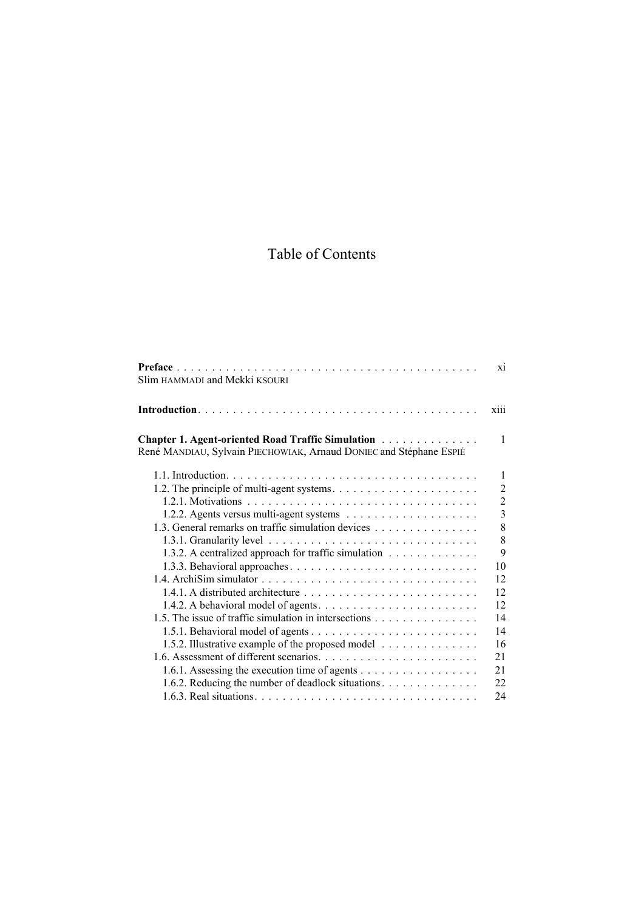## Table of Contents

|                                                                                                                                                   | $\overline{x}$ |
|---------------------------------------------------------------------------------------------------------------------------------------------------|----------------|
| Slim HAMMADI and Mekki KSOURI                                                                                                                     |                |
| xiii                                                                                                                                              |                |
| <b>Chapter 1. Agent-oriented Road Traffic Simulation Actual Lines Agent</b><br>René MANDIAU, Sylvain PIECHOWIAK, Arnaud DONIEC and Stéphane ESPIÉ | $\mathbf{1}$   |
|                                                                                                                                                   | $\mathbf{1}$   |
|                                                                                                                                                   | $\overline{2}$ |
|                                                                                                                                                   | $\overline{2}$ |
|                                                                                                                                                   | $\overline{3}$ |
| 1.3. General remarks on traffic simulation devices                                                                                                | 8              |
|                                                                                                                                                   | 8              |
| 1.3.2. A centralized approach for traffic simulation                                                                                              | 9              |
|                                                                                                                                                   | 10             |
| 12                                                                                                                                                |                |
|                                                                                                                                                   | 12             |
| 12<br>1.4.2. A behavioral model of agents. $\dots \dots \dots \dots \dots \dots \dots \dots \dots$                                                |                |
| 1.5. The issue of traffic simulation in intersections<br>14                                                                                       |                |
| 14                                                                                                                                                |                |
| 1.5.2. Illustrative example of the proposed model<br>16                                                                                           |                |
| 21                                                                                                                                                |                |
| 1.6.1. Assessing the execution time of agents<br>21                                                                                               |                |
| 1.6.2. Reducing the number of deadlock situations.<br>22                                                                                          |                |
| 24                                                                                                                                                |                |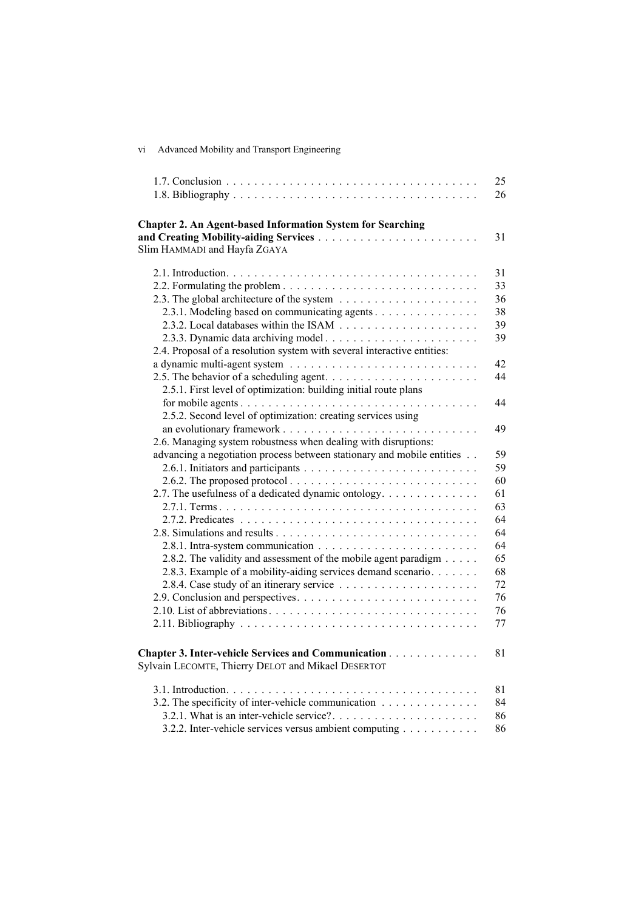| vi | Advanced Mobility and Transport Engineering |  |  |  |  |
|----|---------------------------------------------|--|--|--|--|
|----|---------------------------------------------|--|--|--|--|

|                                                                                                                                                                                                                                                                                                                                                                    | 25<br>26                                                       |
|--------------------------------------------------------------------------------------------------------------------------------------------------------------------------------------------------------------------------------------------------------------------------------------------------------------------------------------------------------------------|----------------------------------------------------------------|
| <b>Chapter 2. An Agent-based Information System for Searching</b><br>Slim HAMMADI and Hayfa ZGAYA                                                                                                                                                                                                                                                                  | 31                                                             |
| 2.3.1. Modeling based on communicating agents<br>2.4. Proposal of a resolution system with several interactive entities:                                                                                                                                                                                                                                           | 31<br>33<br>36<br>38<br>39<br>39                               |
| 2.5.1. First level of optimization: building initial route plans                                                                                                                                                                                                                                                                                                   | 42<br>44                                                       |
| 2.5.2. Second level of optimization: creating services using<br>2.6. Managing system robustness when dealing with disruptions:                                                                                                                                                                                                                                     | 44<br>49                                                       |
| advancing a negotiation process between stationary and mobile entities<br>2.6.2. The proposed protocol $\ldots \ldots \ldots \ldots \ldots \ldots \ldots \ldots \ldots$<br>2.7. The usefulness of a dedicated dynamic ontology.<br>2.8.2. The validity and assessment of the mobile agent paradigm<br>2.8.3. Example of a mobility-aiding services demand scenario | 59<br>59<br>60<br>61<br>63<br>64<br>64<br>64<br>65<br>68<br>72 |
|                                                                                                                                                                                                                                                                                                                                                                    | 76<br>76<br>77                                                 |
| Chapter 3. Inter-vehicle Services and Communication<br>Sylvain LECOMTE, Thierry DELOT and Mikael DESERTOT                                                                                                                                                                                                                                                          | 81                                                             |
| 3.2. The specificity of inter-vehicle communication<br>3.2.2. Inter-vehicle services versus ambient computing                                                                                                                                                                                                                                                      | 81<br>84<br>86<br>86                                           |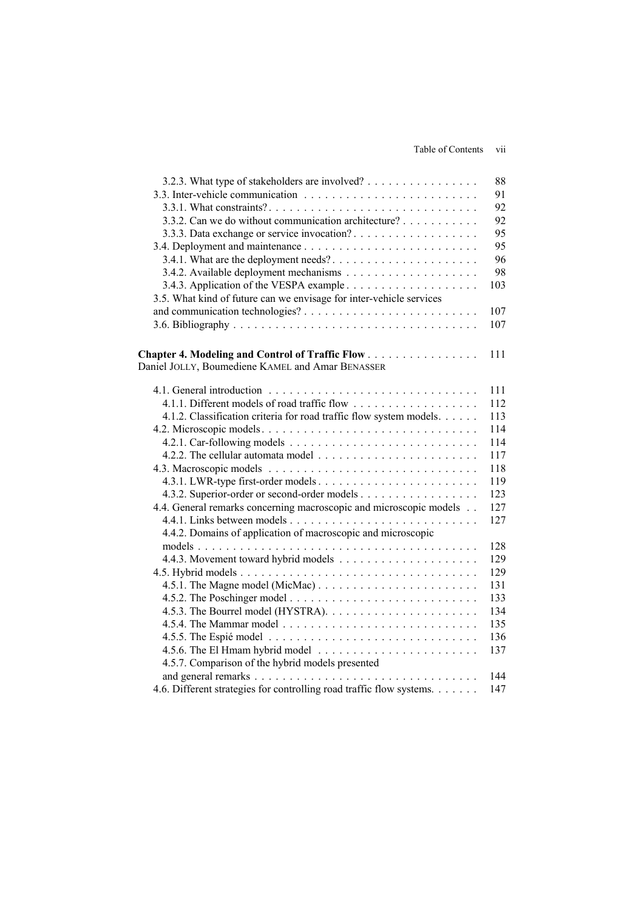Table of Contents vii

| 3.2.3. What type of stakeholders are involved?                       | 88  |
|----------------------------------------------------------------------|-----|
|                                                                      | 91  |
|                                                                      | 92  |
| 3.3.2. Can we do without communication architecture?                 | 92  |
|                                                                      | 95  |
|                                                                      | 95  |
|                                                                      | 96  |
|                                                                      | 98  |
|                                                                      | 103 |
| 3.5. What kind of future can we envisage for inter-vehicle services  |     |
|                                                                      | 107 |
|                                                                      | 107 |
|                                                                      |     |
| Chapter 4. Modeling and Control of Traffic Flow                      | 111 |
| Daniel JOLLY, Boumediene KAMEL and Amar BENASSER                     |     |
|                                                                      |     |
|                                                                      | 111 |
|                                                                      | 112 |
| 4.1.2. Classification criteria for road traffic flow system models.  | 113 |
|                                                                      | 114 |
|                                                                      | 114 |
|                                                                      | 117 |
|                                                                      | 118 |
|                                                                      | 119 |
| 4.3.2. Superior-order or second-order models                         | 123 |
| 4.4. General remarks concerning macroscopic and microscopic models   | 127 |
|                                                                      | 127 |
| 4.4.2. Domains of application of macroscopic and microscopic         |     |
|                                                                      | 128 |
|                                                                      | 129 |
|                                                                      | 129 |
|                                                                      | 131 |
|                                                                      | 133 |
|                                                                      | 134 |
|                                                                      | 135 |
|                                                                      | 136 |
|                                                                      | 137 |
| 4.5.7. Comparison of the hybrid models presented                     |     |
|                                                                      | 144 |
| 4.6. Different strategies for controlling road traffic flow systems. | 147 |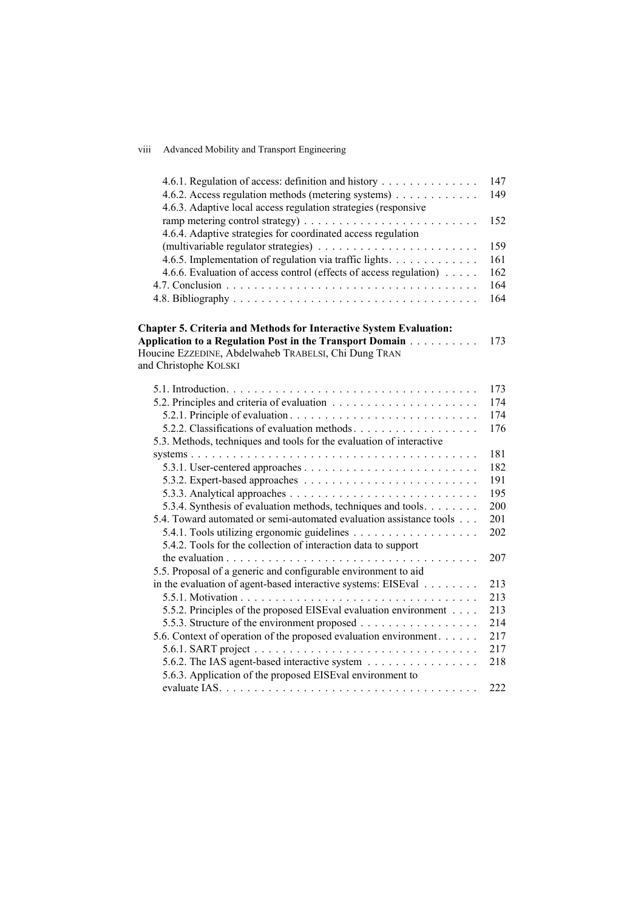## viii Advanced Mobility and Transport Engineering

| 4.6.1. Regulation of access: definition and history                  | 147 |
|----------------------------------------------------------------------|-----|
| 4.6.2. Access regulation methods (metering systems)                  | 149 |
| 4.6.3. Adaptive local access regulation strategies (responsive       |     |
|                                                                      | 152 |
| 4.6.4. Adaptive strategies for coordinated access regulation         |     |
|                                                                      | 159 |
| 4.6.5. Implementation of regulation via traffic lights.              | 161 |
| 4.6.6. Evaluation of access control (effects of access regulation)   | 162 |
|                                                                      | 164 |
|                                                                      | 164 |
| Chapter 5. Criteria and Methods for Interactive System Evaluation:   |     |
| Application to a Regulation Post in the Transport Domain             | 173 |
| Houcine EZZEDINE, Abdelwaheb TRABELSI, Chi Dung TRAN                 |     |
| and Christophe KOLSKI                                                |     |
|                                                                      |     |
|                                                                      | 173 |
|                                                                      | 174 |
|                                                                      | 174 |
| 5.2.2. Classifications of evaluation methods                         | 176 |
| 5.3. Methods, techniques and tools for the evaluation of interactive |     |
|                                                                      | 181 |
|                                                                      | 182 |
|                                                                      | 191 |
|                                                                      | 195 |
| 5.3.4. Synthesis of evaluation methods, techniques and tools.        | 200 |
| 5.4. Toward automated or semi-automated evaluation assistance tools  | 201 |
|                                                                      | 202 |
| 5.4.2. Tools for the collection of interaction data to support       |     |
|                                                                      | 207 |
| 5.5. Proposal of a generic and configurable environment to aid       |     |
| in the evaluation of agent-based interactive systems: EISEval        | 213 |
|                                                                      | 213 |
| 5.5.2. Principles of the proposed EISEval evaluation environment     | 213 |
| 5.5.3. Structure of the environment proposed                         | 214 |
| 5.6. Context of operation of the proposed evaluation environment     | 217 |
|                                                                      | 217 |
| 5.6.2. The IAS agent-based interactive system                        | 218 |
| 5.6.3. Application of the proposed EISEval environment to            |     |
| evaluate IAS                                                         | 222 |